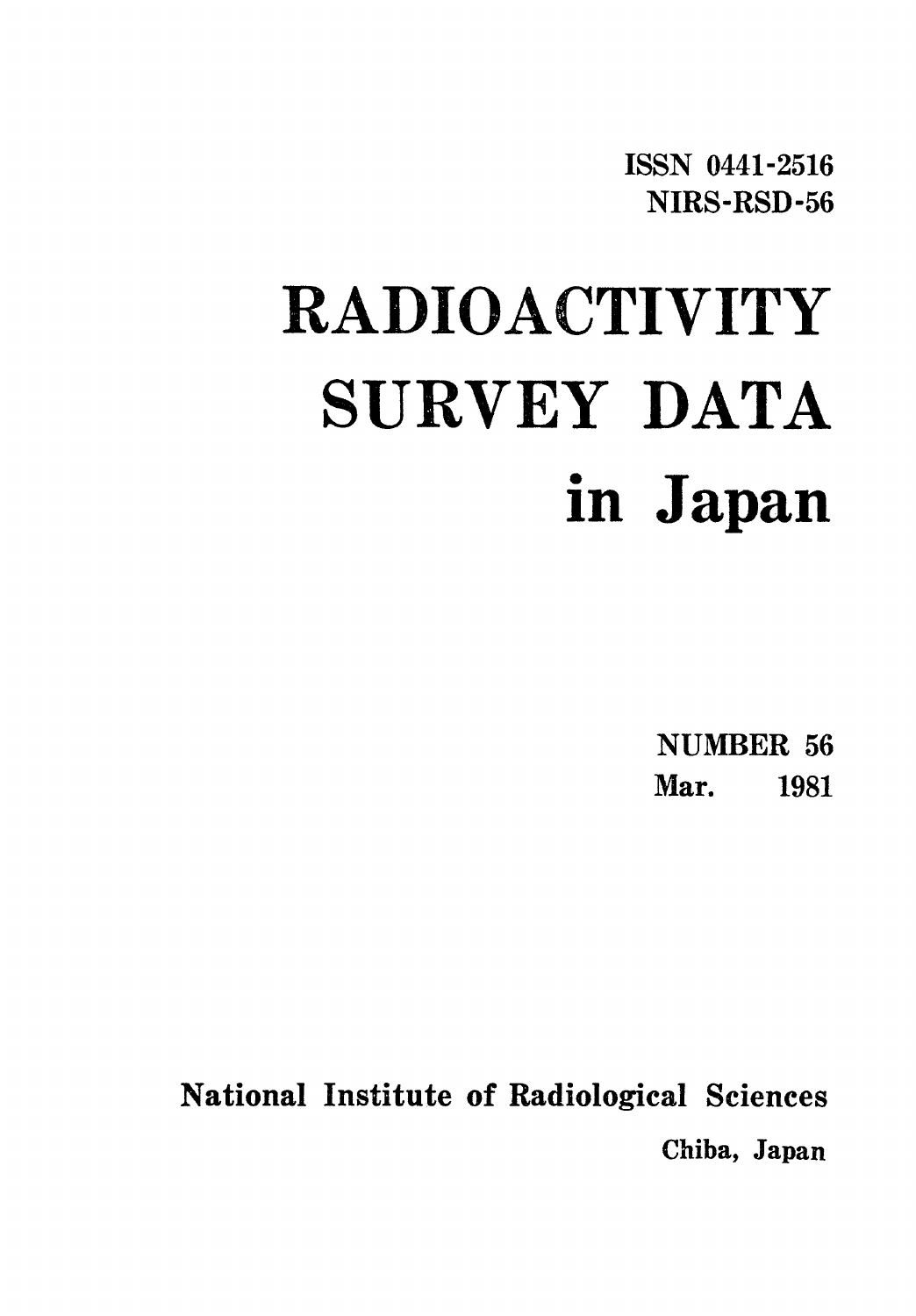**ISSN 0441-2516** NIRS-RSD-56

# **RADIOACTIVITY** SURVEY DATA in Japan

NUMBER 56 Mar. 1981

National Institute of Radiological Sciences Chiba, Japan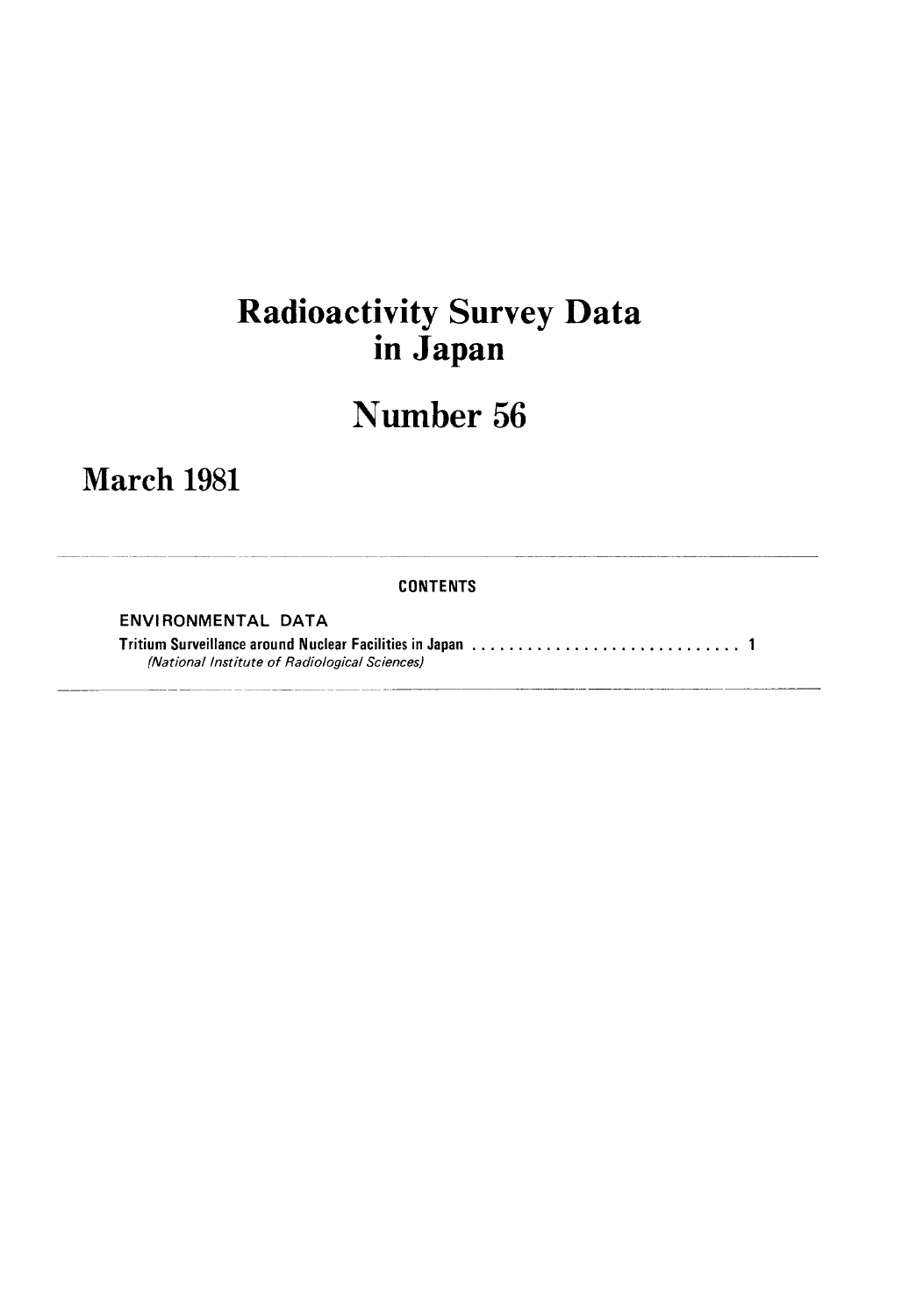## **Radioactivity Survey Data** in Japan

# Number 56

### **March 1981**

#### **CONTENTS**

ENVIRONMENTAL DATA

(National Institute of Radiological Sciences)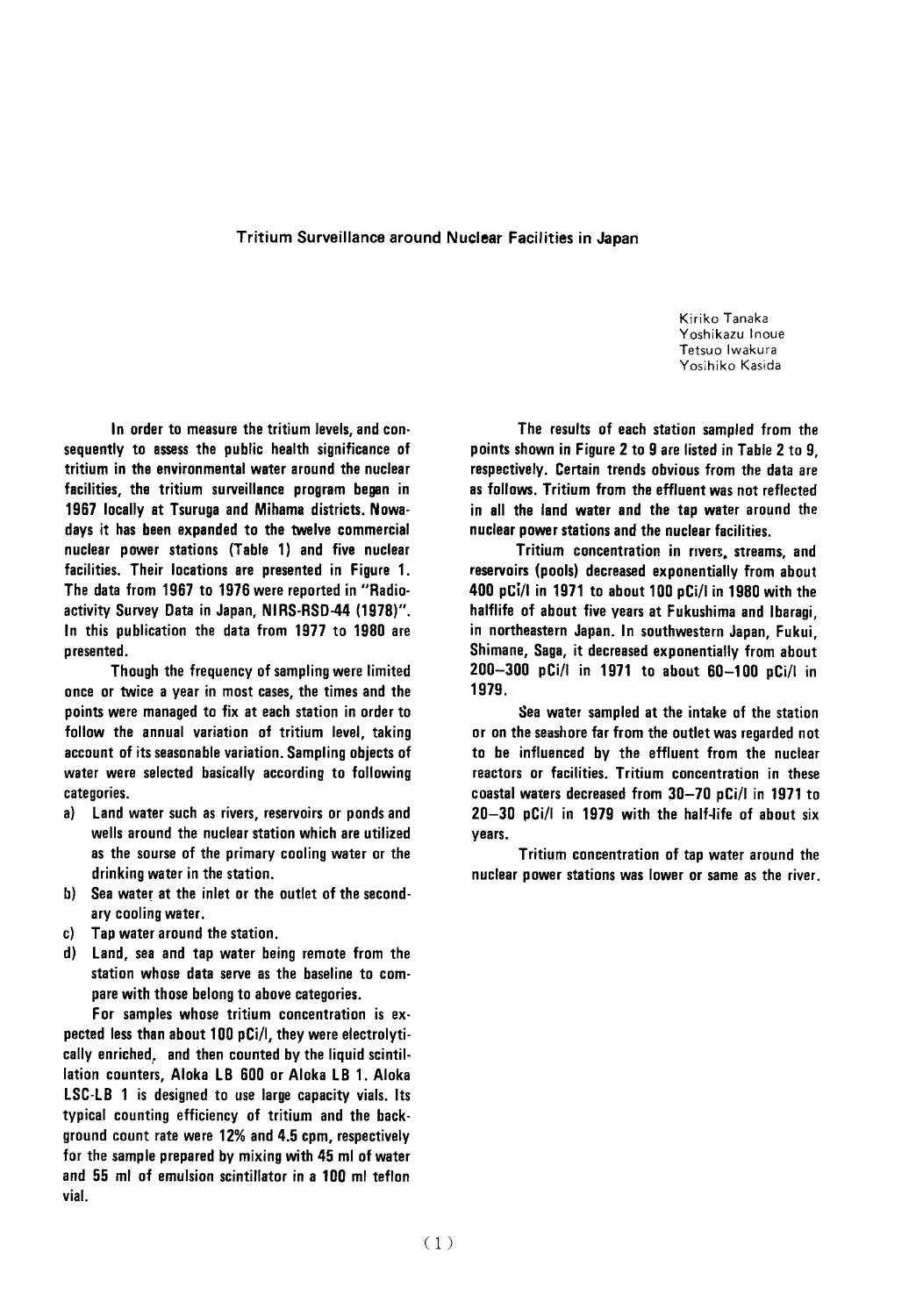#### Tritium Surveillance around Nuclear Facilities in Japan

Kiriko Tanaka Yoshikazu Inoue Tetsuo Iwakura Yosihiko Kasida

In order to measure the tritium levels, and consequently to assess the public health significance of tritium in the environmental water around the nuclear facilities, the tritium surveillance program began in 1967 locally at Tsuruga and Mihama districts. Nowadays it has been expanded to the twelve commercial nuclear power stations (Table 1) and five nuclear facilities. Their locations are presented in Figure 1. The data from 1967 to 1976 were reported in "Radioactivity Survey Data in Japan, NIRS-RSD-44 (1978)". In this publication the data from 1977 to 1980 are presented.

Though the frequency of sampling were limited once or twice a year in most cases, the times and the points were managed to fix at each station in order to follow the annual variation of tritium level, taking account of its seasonable variation. Sampling objects of water were selected basically according to following categories.

- a) Land water such as rivers, reservoirs or ponds and wells around the nuclear station which are utilized as the sourse of the primary cooling water or the drinking water in the station.
- b) Sea water at the inlet or the outlet of the secondary cooling water.
- Tap water around the station. c)
- d) Land, sea and tap water being remote from the station whose data serve as the baseline to compare with those belong to above categories.

For samples whose tritium concentration is expected less than about 100 pCi/l, they were electrolytically enriched, and then counted by the liquid scintillation counters, Aloka LB 600 or Aloka LB 1. Aloka LSC-LB 1 is designed to use large capacity vials. Its typical counting efficiency of tritium and the background count rate were 12% and 4.5 cpm, respectively for the sample prepared by mixing with 45 ml of water and 55 ml of emulsion scintillator in a 100 ml teflon vial.

The results of each station sampled from the points shown in Figure 2 to 9 are listed in Table 2 to 9. respectively. Certain trends obvious from the data are as follows. Tritium from the effluent was not reflected in all the land water and the tap water around the nuclear power stations and the nuclear facilities.

Tritium concentration in rivers, streams, and reservoirs (pools) decreased exponentially from about 400 pCi/l in 1971 to about 100 pCi/l in 1980 with the halflife of about five years at Fukushima and Ibaragi. in northeastern Japan. In southwestern Japan, Fukui, Shimane, Saga, it decreased exponentially from about 200-300 pCi/l in 1971 to about 60-100 pCi/l in 1979.

Sea water sampled at the intake of the station or on the seashore far from the outlet was regarded not to be influenced by the effluent from the nuclear reactors or facilities. Tritium concentration in these coastal waters decreased from 30-70 pCi/l in 1971 to 20-30 pCi/l in 1979 with the half-life of about six years.

Tritium concentration of tap water around the nuclear power stations was lower or same as the river.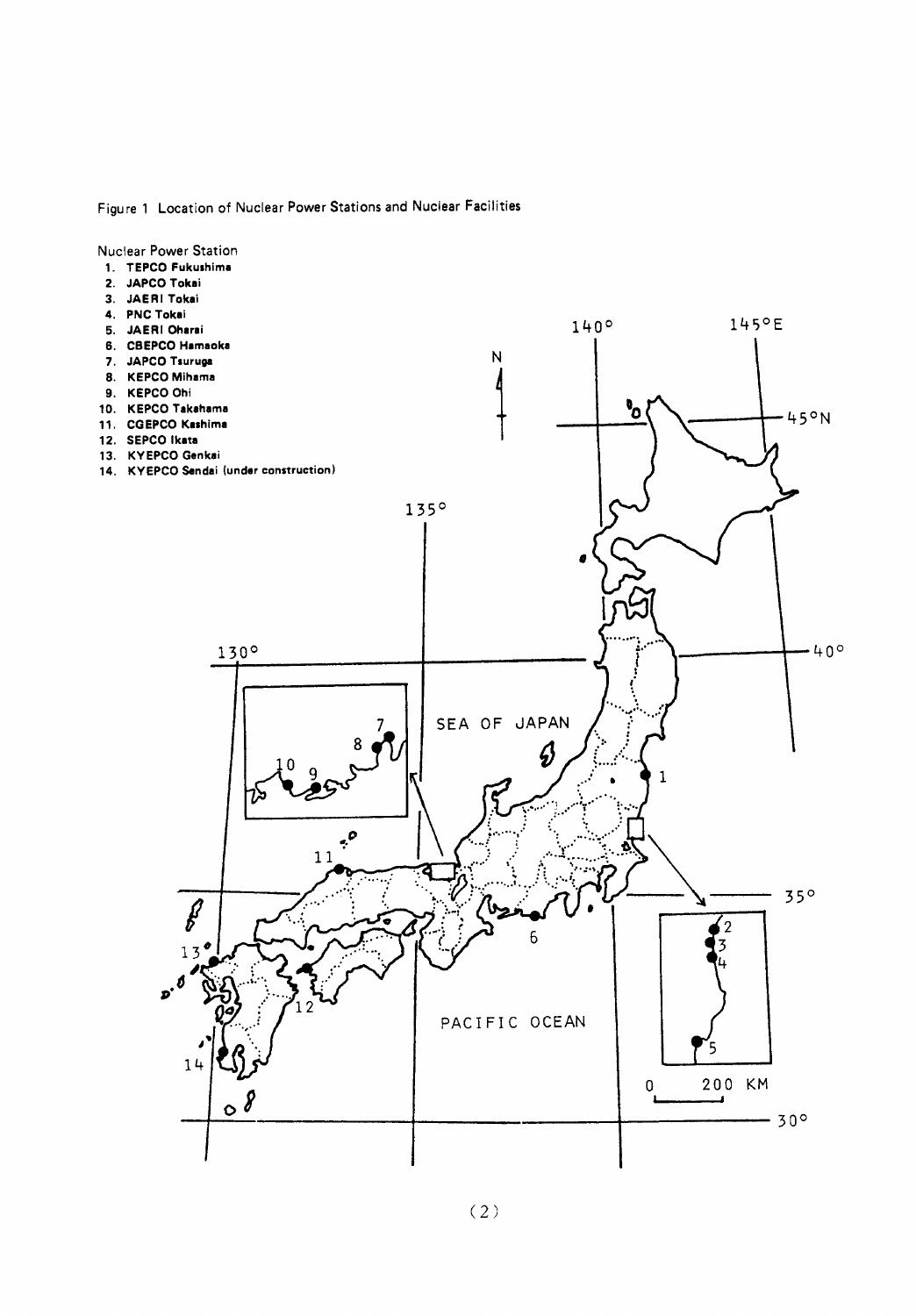Figure 1 Location of Nuclear Power Stations and Nuclear Facilities



 $(2)$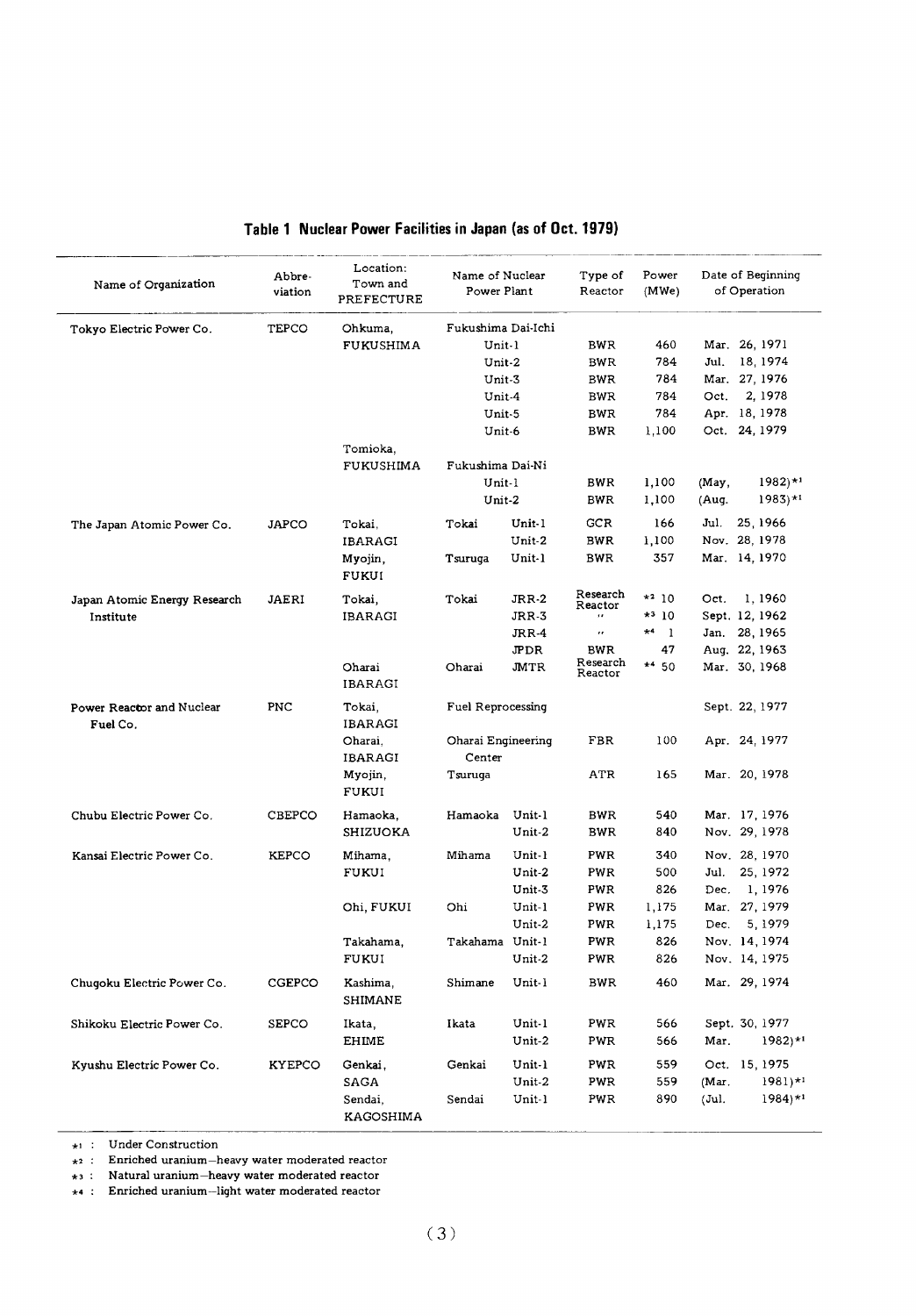| Name of Organization                  | Abbre-<br>viation | Location:<br>Town and<br>PREFECTURE | Name of Nuclear<br>Power Plant |                  | Type of<br>Reactor     | Power<br>(MWe)              | Date of Beginning<br>of Operation              |
|---------------------------------------|-------------------|-------------------------------------|--------------------------------|------------------|------------------------|-----------------------------|------------------------------------------------|
| Tokyo Electric Power Co.              | TEPCO             | Ohkuma,                             | Fukushima Dai-Ichi             |                  |                        |                             |                                                |
|                                       |                   | FUKUSHIMA                           | Unit-1                         |                  | BWR.                   | 460                         | Mar. 26, 1971                                  |
|                                       |                   |                                     | Unit-2                         |                  | BWR                    | 784                         | Jul.<br>18, 1974                               |
|                                       |                   |                                     | Unit-3                         |                  | <b>BWR</b>             | 784                         | Mar. 27, 1976                                  |
|                                       |                   |                                     | Unit-4                         |                  | BWR                    | 784                         | 2, 1978<br>Oct.                                |
|                                       |                   |                                     | Unit-5                         |                  | BWR                    | 784                         | Apr. 18, 1978                                  |
|                                       |                   |                                     | Unit-6                         |                  | <b>BWR</b>             | 1,100                       | Oct. 24, 1979                                  |
|                                       |                   | Tomioka,<br>FUKUSHIMA               | Fukushima Dai-Ni               |                  |                        |                             |                                                |
|                                       |                   |                                     | Unit-1                         |                  | BWR                    | 1,100                       | $1982$ <sup>*1</sup><br>(May,                  |
|                                       |                   |                                     | Unit-2                         |                  | BWR                    | 1,100                       | $1983$ <sup>*1</sup><br>(Aug.                  |
| The Japan Atomic Power Co.            | <b>JAPCO</b>      | Tokai,                              | Tokai                          | Unit-1           | <b>GCR</b>             | 166                         | 25, 1966<br>Jul.                               |
|                                       |                   | <b>IBARAGI</b>                      |                                | Unit-2           | BWR                    | 1,100                       | Nov. 28, 1978                                  |
|                                       |                   | Myojin,<br><b>FUKUI</b>             | Tsuruqa                        | Unit-1           | <b>BWR</b>             | 357                         | Mar. 14, 1970                                  |
|                                       |                   |                                     |                                |                  | Research               |                             |                                                |
| Japan Atomic Energy Research          | JAERI             | Tokai.                              | Tokai                          | JRR-2            | Reactor                | $*^2$ 10                    | 1,1960<br>Oct.                                 |
| Institute                             |                   | <b>IBARAGI</b>                      |                                | JRR-3            | $\ddot{\phantom{a}}$   | $*310$                      | Sept. 12, 1962                                 |
|                                       |                   |                                     |                                | JRR-4            | $\bar{r}$              | $\star$ 4<br>$\blacksquare$ | Jan. 28, 1965                                  |
|                                       |                   |                                     |                                | JPDR             | <b>BWR</b><br>Research | 47                          | Aug. 22, 1963                                  |
|                                       |                   | Oharai<br>IBARAGI                   | Oharai                         | <b>JMTR</b>      | Reactor                | $*$ <sup>4</sup> 50         | Mar. 30, 1968                                  |
| Power Reactor and Nuclear<br>Fuel Co. | <b>PNC</b>        | Tokai,<br><b>IBARAGI</b>            | Fuel Reprocessing              |                  |                        |                             | Sept. 22, 1977                                 |
|                                       |                   | Oharai.<br><b>IBARAGI</b>           | Oharai Engineering<br>Center   |                  | FBR                    | 100                         | Apr. 24, 1977                                  |
|                                       |                   | Myojin,<br><b>FUKUI</b>             | Tsuruga                        |                  | ATR                    | 165                         | Mar. 20, 1978                                  |
| Chubu Electric Power Co.              | <b>CBEPCO</b>     | Hamaoka,                            | Hamaoka                        | Unit-1           | BWR                    | 540                         | Mar. 17, 1976                                  |
|                                       |                   | <b>SHIZUOKA</b>                     |                                | Unit-2           | BWR                    | 840                         | Nov. 29, 1978                                  |
| Kansai Electric Power Co.             | <b>KEPCO</b>      | Mihama,                             | Mihama                         | Unit-1           | PWR                    | 340                         | Nov. 28, 1970                                  |
|                                       |                   | FUKUI                               |                                | Unit-2           | PWR                    | 500                         | Jul.<br>25, 1972                               |
|                                       |                   |                                     |                                | Unit-3           | PWR                    | 826                         | 1, 1976<br>Dec.                                |
|                                       |                   | Ohi, FUKUI                          | Ohi                            | Unit-1           | PWR                    | 1,175                       | Mar. 27, 1979                                  |
|                                       |                   |                                     |                                | Unit-2           | PWR.                   | 1,175                       | 5, 1979<br>Dec.                                |
|                                       |                   | Takahama,                           | Takahama Unit-1                |                  | PWR                    | 826                         | Nov. 14, 1974                                  |
|                                       |                   | FUKUI                               |                                | Unit-2           | PWR                    | 826                         | Nov. 14, 1975                                  |
| Chugoku Electric Power Co.            | CGEPCO            | Kashima,<br>SHIMANE                 | Shimane                        | Unit-1           | <b>BWR</b>             | 460                         | Mar. 29, 1974                                  |
|                                       |                   |                                     |                                |                  |                        |                             |                                                |
| Shikoku Electric Power Co.            | SEPCO             | Ikata,<br><b>EHIME</b>              | Ikata                          | Unit-1<br>Unit-2 | PWR<br>PWR             | 566<br>566                  | Sept. 30, 1977<br>Mar.<br>$1982$ <sup>*1</sup> |
| Kyushu Electric Power Co.             | <b>KYEPCO</b>     | Genkai,                             | Genkai                         | Unit-1           | PWR                    | 559                         | Oct. 15, 1975                                  |
|                                       |                   | SAGA                                |                                | Unit-2           | PWR                    | 559                         | $1981$ <sup>*1</sup><br>(Mar.                  |
|                                       |                   | Sendai,<br>KAGOSHIMA                | Sendai                         | Unit-1           | PWR                    | 890                         | (Jul.<br>$1984$ <sup>*1</sup>                  |

#### Table 1 Nuclear Power Facilities in Japan (as of Oct. 1979)

 $\star_1$  : Under Construction

 $\star$ 2 : Enriched uranium—heavy water moderated reactor<br> $\star$ 3 : Natural uranium—heavy water moderated reactor

 $\star$ 4 : Enriched uranium-light water moderated reactor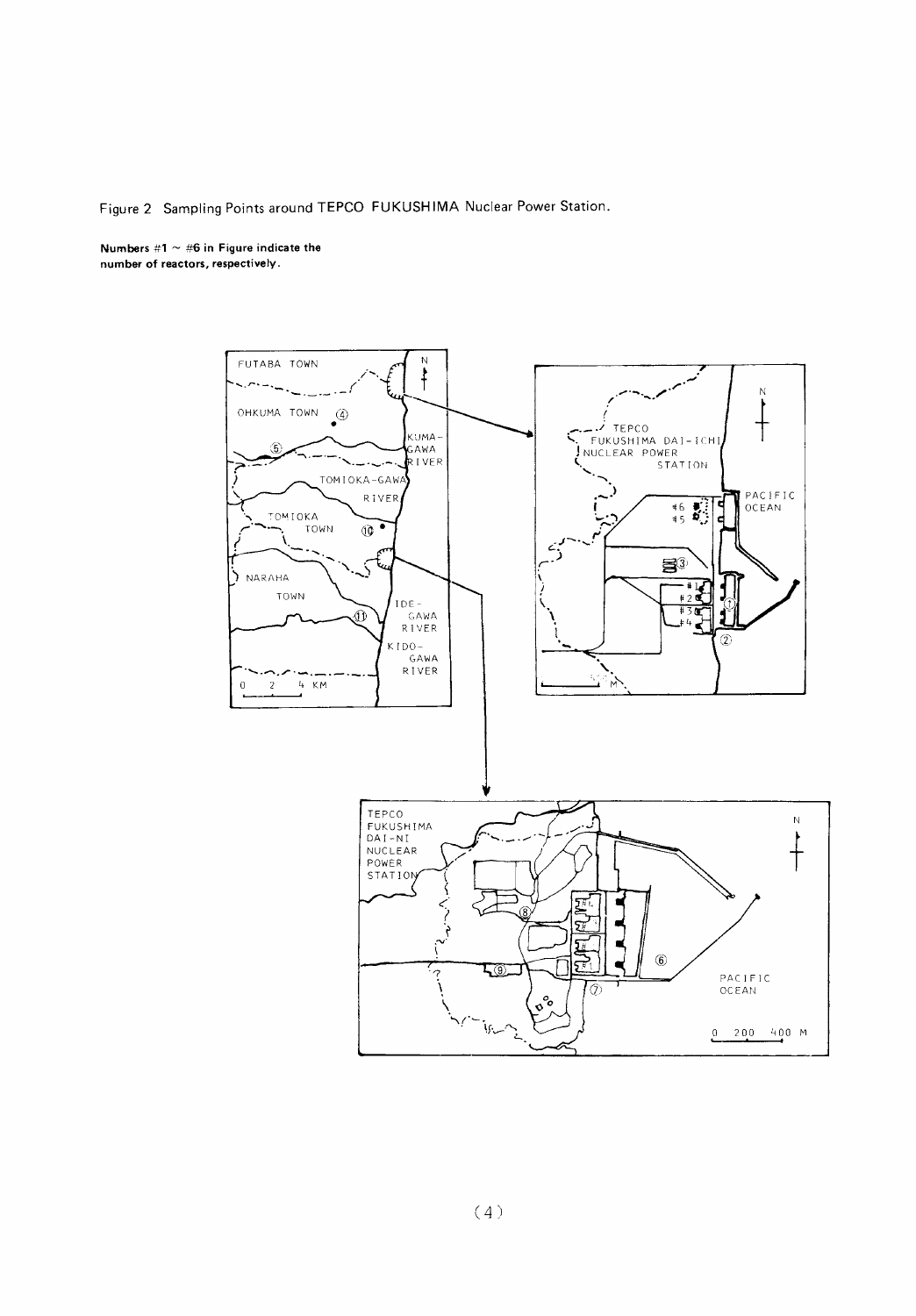#### Figure 2 Sampling Points around TEPCO FUKUSHIMA Nuclear Power Station.

Numbers #1  $\sim$  #6 in Figure indicate the number of reactors, respectively.

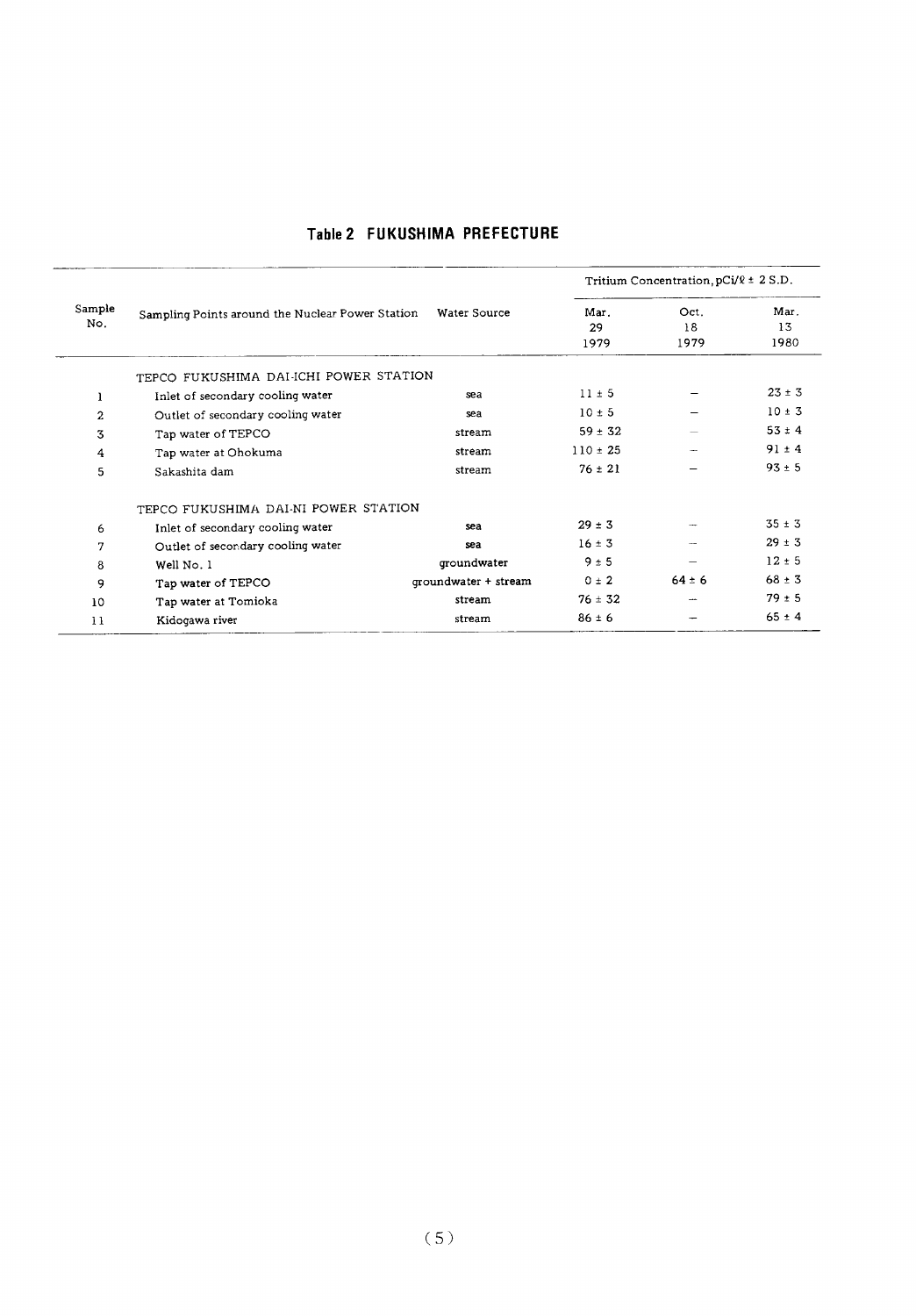|                |                                                  |                      |                    | Tritium Concentration, $pCi/\ell \pm 2 S.D.$ |                    |
|----------------|--------------------------------------------------|----------------------|--------------------|----------------------------------------------|--------------------|
| Sample<br>No.  | Sampling Points around the Nuclear Power Station | Water Source         | Mar.<br>29<br>1979 | Oct.<br>18<br>1979                           | Mar.<br>13<br>1980 |
|                | TEPCO FUKUSHIMA DAI-ICHI POWER STATION           |                      |                    |                                              |                    |
| 1              | Inlet of secondary cooling water                 | sea                  | $11 \pm 5$         |                                              | $23 \pm 3$         |
| $\overline{2}$ | Outlet of secondary cooling water                | sea                  | $10 \pm 5$         |                                              | $10 \pm 3$         |
| 3              | Tap water of TEPCO                               | stream               | $59 \pm 32$        |                                              | $53 \pm 4$         |
| 4              | Tap water at Ohokuma                             | stream               | $110 \pm 25$       | $\overline{\phantom{a}}$                     | $91 \pm 4$         |
| 5              | Sakashita dam                                    | stream               | $76 \pm 21$        |                                              | $93 \pm 5$         |
|                | TEPCO FUKUSHIMA DAI-NI POWER STATION             |                      |                    |                                              |                    |
| 6              | Inlet of secondary cooling water                 | sea                  | $29 \pm 3$         |                                              | $35 \pm 3$         |
| 7              | Outlet of secondary cooling water                | sea                  | $16 \pm 3$         |                                              | $29 \pm 3$         |
| 8              | Well No. 1                                       | groundwater          | 9±5                |                                              | $12 \pm 5$         |
| 9              | Tap water of TEPCO                               | qroundwater + stream | $0 \pm 2$          | $64 \pm 6$                                   | $68 \pm 3$         |
| 10             | Tap water at Tomioka                             | stream               | $76 \pm 32$        | --                                           | $79 \pm 5$         |
| 11             | Kidogawa river                                   | stream               | $86 \pm 6$         |                                              | $65 \pm 4$         |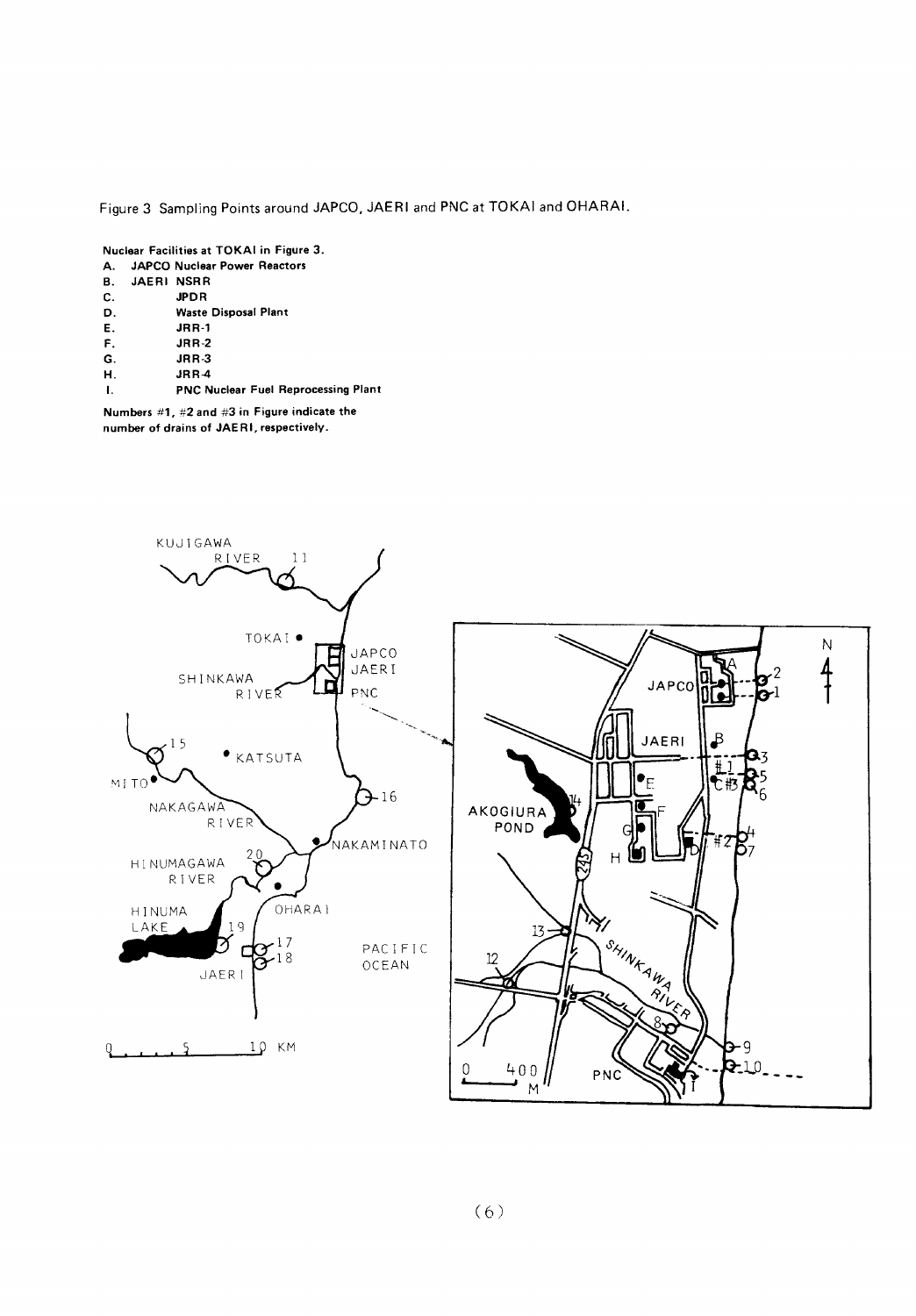Figure 3 Sampling Points around JAPCO, JAERI and PNC at TOKAI and OHARAI.

Nuclear Facilities at TOKAI in Figure 3. JAPCO Nuclear Power Reactors  $\Delta$ 

| <b></b> |            | <b>UPT CO NUCION LONGLITUDIOIS</b>         |
|---------|------------|--------------------------------------------|
| В.      | JAERI NSRR |                                            |
| C.      |            | <b>JPDR</b>                                |
| D.      |            | <b>Waste Disposal Plant</b>                |
| Е.      |            | $JRR-1$                                    |
| F.      |            | <b>JRR-2</b>                               |
| G.      |            | JRR <sub>3</sub>                           |
| н.      |            | JRR4                                       |
| -1.     |            | <b>PNC Nuclear Fuel Reprocessing Plant</b> |

Numbers  $#1, #2$  and  $#3$  in Figure indicate the number of drains of JAERI, respectively.

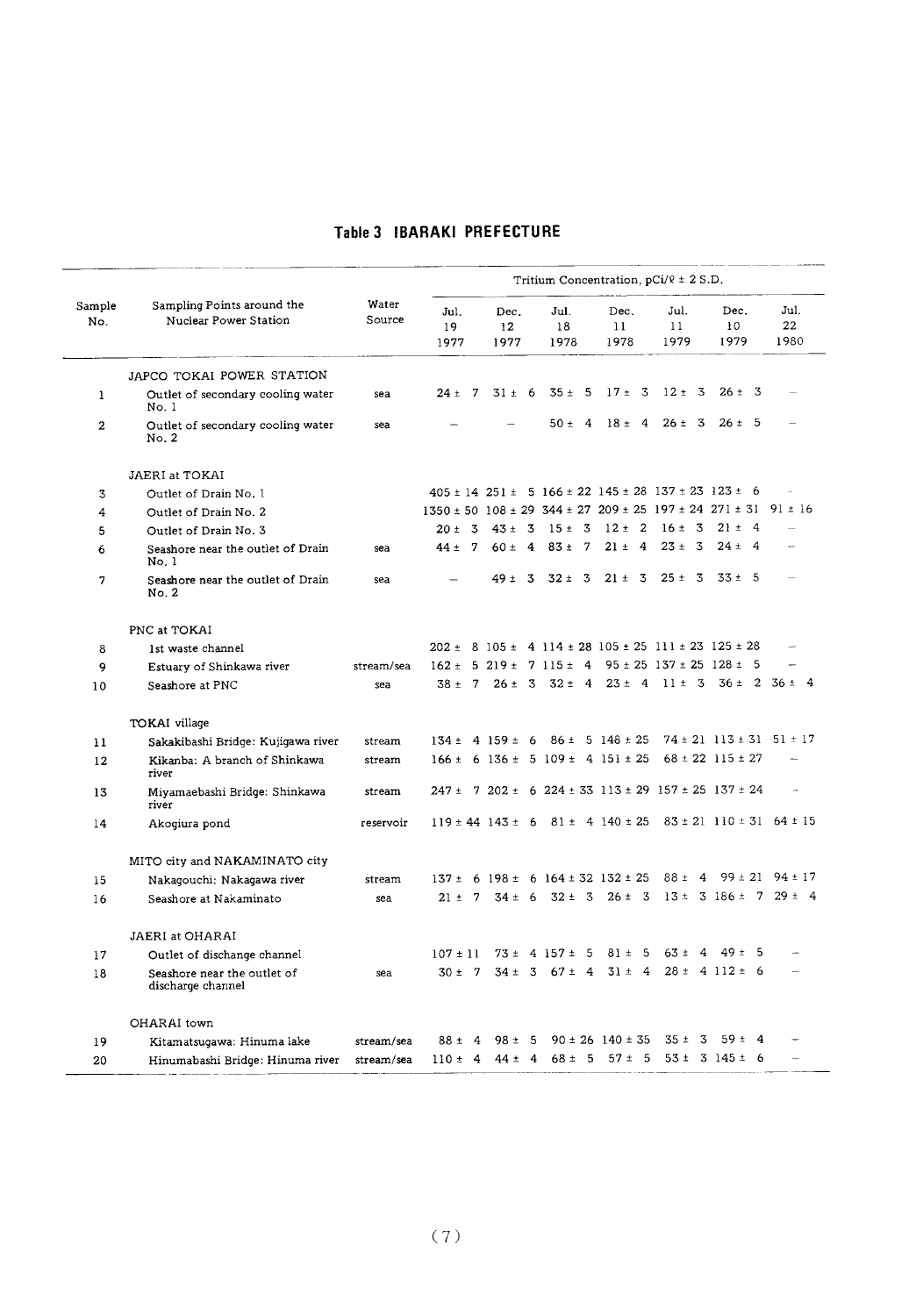#### Table 3 IBARAKI PREFECTURE

| Sampling Points around the<br>Water<br>Sample<br>Jul.<br>Jul.<br>Dec.<br>Jul.<br>Dec.<br>Dec.<br>Nuclear Power Station<br>Source<br>No.<br>11<br>10<br>19<br>12<br>18<br>11<br>1979<br>1977<br>1978<br>1978<br>1979<br>1977<br>JAPCO TOKAI POWER STATION<br>$17 \pm 3$ $12 \pm 3$<br>$35 \pm 5$<br>$26 \pm 3$<br>$31 \pm 6$<br>$24 \pm 7$<br>Outlet of secondary cooling water<br>1<br>sea<br>No.1<br>$18 \pm 4$ 26 $\pm 3$<br>$26 \pm 5$<br>$50 \pm 4$<br>$\mathbf{2}$<br>Outlet of secondary cooling water<br>sea<br>No. 2<br>JAERI at TOKAI<br>$405 \pm 14$ 251 ± 5 166 ± 22 145 ± 28 137 ± 23 123 ± 6<br>Outlet of Drain No. 1<br>3<br>$1350 \pm 50$ $108 \pm 29$ $344 \pm 27$ $209 \pm 25$ $197 \pm 24$ $271 \pm 31$ 91 $\pm 16$<br>4<br>Outlet of Drain No. 2<br>$20 \pm 3$ 43 ± 3 15 ± 3<br>$12 \pm 2$ $16 \pm 3$<br>$21 \pm 4$<br>5<br>Outlet of Drain No. 3<br>$21 \pm 4$ 23 ± 3<br>$60 \pm 4$ 83 ± 7<br>$24 \pm 4$<br>$44 \pm 7$<br>6<br>Seashore near the outlet of Drain<br>sea<br>No.1 |                          |
|-----------------------------------------------------------------------------------------------------------------------------------------------------------------------------------------------------------------------------------------------------------------------------------------------------------------------------------------------------------------------------------------------------------------------------------------------------------------------------------------------------------------------------------------------------------------------------------------------------------------------------------------------------------------------------------------------------------------------------------------------------------------------------------------------------------------------------------------------------------------------------------------------------------------------------------------------------------------------------------------------------|--------------------------|
|                                                                                                                                                                                                                                                                                                                                                                                                                                                                                                                                                                                                                                                                                                                                                                                                                                                                                                                                                                                                     | Jul.<br>22<br>1980       |
|                                                                                                                                                                                                                                                                                                                                                                                                                                                                                                                                                                                                                                                                                                                                                                                                                                                                                                                                                                                                     |                          |
|                                                                                                                                                                                                                                                                                                                                                                                                                                                                                                                                                                                                                                                                                                                                                                                                                                                                                                                                                                                                     |                          |
|                                                                                                                                                                                                                                                                                                                                                                                                                                                                                                                                                                                                                                                                                                                                                                                                                                                                                                                                                                                                     |                          |
|                                                                                                                                                                                                                                                                                                                                                                                                                                                                                                                                                                                                                                                                                                                                                                                                                                                                                                                                                                                                     |                          |
|                                                                                                                                                                                                                                                                                                                                                                                                                                                                                                                                                                                                                                                                                                                                                                                                                                                                                                                                                                                                     |                          |
|                                                                                                                                                                                                                                                                                                                                                                                                                                                                                                                                                                                                                                                                                                                                                                                                                                                                                                                                                                                                     |                          |
|                                                                                                                                                                                                                                                                                                                                                                                                                                                                                                                                                                                                                                                                                                                                                                                                                                                                                                                                                                                                     |                          |
|                                                                                                                                                                                                                                                                                                                                                                                                                                                                                                                                                                                                                                                                                                                                                                                                                                                                                                                                                                                                     |                          |
| $49 \pm 3$ 32 ± 3<br>$21 \pm 3$ $25 \pm 3$ $33 \pm 5$<br>Seashore near the outlet of Drain<br>7<br>sea<br>No. 2                                                                                                                                                                                                                                                                                                                                                                                                                                                                                                                                                                                                                                                                                                                                                                                                                                                                                     |                          |
| PNC at TOKAI                                                                                                                                                                                                                                                                                                                                                                                                                                                                                                                                                                                                                                                                                                                                                                                                                                                                                                                                                                                        |                          |
| $202 \pm 8$ 105 ± 4 114 ± 28 105 ± 25 111 ± 23 125 ± 28<br>8<br>1st waste channel                                                                                                                                                                                                                                                                                                                                                                                                                                                                                                                                                                                                                                                                                                                                                                                                                                                                                                                   |                          |
| $162 \pm 5219 \pm 7115 \pm 495 \pm 25137 \pm 25128 \pm 5$<br>9<br>stream/sea<br>Estuary of Shinkawa river                                                                                                                                                                                                                                                                                                                                                                                                                                                                                                                                                                                                                                                                                                                                                                                                                                                                                           | $\overline{\phantom{a}}$ |
| $38 \pm 7$ $26 \pm 3$ $32 \pm 4$ $23 \pm 4$ $11 \pm 3$ $36 \pm 2$ $36 \pm 4$<br>Seashore at PNC<br>10<br>sea                                                                                                                                                                                                                                                                                                                                                                                                                                                                                                                                                                                                                                                                                                                                                                                                                                                                                        |                          |
| TOKAI village                                                                                                                                                                                                                                                                                                                                                                                                                                                                                                                                                                                                                                                                                                                                                                                                                                                                                                                                                                                       |                          |
| $134 \pm 4$ $159 \pm 6$ $86 \pm 5$ $148 \pm 25$<br>$74 \pm 21$ 113 $\pm$ 31 51 $\pm$ 17<br>Sakakibashi Bridge: Kujigawa river<br>11<br>stream                                                                                                                                                                                                                                                                                                                                                                                                                                                                                                                                                                                                                                                                                                                                                                                                                                                       |                          |
| $166 \pm 6$ 136 $\pm$ 5 109 $\pm$ 4 151 $\pm$ 25<br>$68 \pm 22$ 115 $\pm$ 27<br>12<br>Kikanba: A branch of Shinkawa<br>stream<br>river                                                                                                                                                                                                                                                                                                                                                                                                                                                                                                                                                                                                                                                                                                                                                                                                                                                              |                          |
| $247 \pm 7$ 202 $\pm$ 6 224 $\pm$ 33 113 $\pm$ 29 157 $\pm$ 25 137 $\pm$ 24<br>13<br>Miyamaebashi Bridge: Shinkawa<br>stream<br>river                                                                                                                                                                                                                                                                                                                                                                                                                                                                                                                                                                                                                                                                                                                                                                                                                                                               |                          |
| $119 \pm 44$ 143 ± 6 81 ± 4 140 ± 25 83 ± 21 110 ± 31 64 ± 15<br>reservoir<br>14<br>Akogiura pond                                                                                                                                                                                                                                                                                                                                                                                                                                                                                                                                                                                                                                                                                                                                                                                                                                                                                                   |                          |
| MITO city and NAKAMINATO city                                                                                                                                                                                                                                                                                                                                                                                                                                                                                                                                                                                                                                                                                                                                                                                                                                                                                                                                                                       |                          |
| $88 \pm 4$ 99 ± 21 94 ± 17<br>$137 \pm 6$ 198 ± 6 164 ± 32 132 ± 25<br>15<br>Nakaqouchi: Nakaqawa river<br>stream                                                                                                                                                                                                                                                                                                                                                                                                                                                                                                                                                                                                                                                                                                                                                                                                                                                                                   |                          |
| $21 \pm 7$ 34 ± 6 32 ± 3 26 ± 3 13 ± 3 186 ± 7 29 ± 4<br>Seashore at Nakaminato<br>16<br>sea                                                                                                                                                                                                                                                                                                                                                                                                                                                                                                                                                                                                                                                                                                                                                                                                                                                                                                        |                          |
| <b>JAERI</b> at OHARAI                                                                                                                                                                                                                                                                                                                                                                                                                                                                                                                                                                                                                                                                                                                                                                                                                                                                                                                                                                              |                          |
| $63 \pm$<br>$107 \pm 11$ 73 ± 4 157 ± 5<br>$81 \pm 5$<br>$\overline{4}$<br>49 ±<br>17<br>Outlet of dischange channel                                                                                                                                                                                                                                                                                                                                                                                                                                                                                                                                                                                                                                                                                                                                                                                                                                                                                | -5                       |
| $30 \pm 7$ $34 \pm 3$ $67 \pm 4$ $31 \pm 4$ $28 \pm 4$ $112 \pm 6$<br>Seashore near the outlet of<br>18<br>sea<br>discharge channel                                                                                                                                                                                                                                                                                                                                                                                                                                                                                                                                                                                                                                                                                                                                                                                                                                                                 |                          |
| OHARAI town                                                                                                                                                                                                                                                                                                                                                                                                                                                                                                                                                                                                                                                                                                                                                                                                                                                                                                                                                                                         |                          |
| 88 ± 4 98 ± 5 90 ± 26 140 ± 35 35 ± 3 59 ± 4<br>Kitamatsugawa: Hinuma lake<br>stream/sea<br>19                                                                                                                                                                                                                                                                                                                                                                                                                                                                                                                                                                                                                                                                                                                                                                                                                                                                                                      |                          |
| $110 \pm 4$ 44 $\pm 4$ 68 $\pm 5$ 57 $\pm 5$ 53 $\pm 3$ 145 $\pm 6$<br>Hinumabashi Bridge: Hinuma river<br>stream/sea<br>20                                                                                                                                                                                                                                                                                                                                                                                                                                                                                                                                                                                                                                                                                                                                                                                                                                                                         |                          |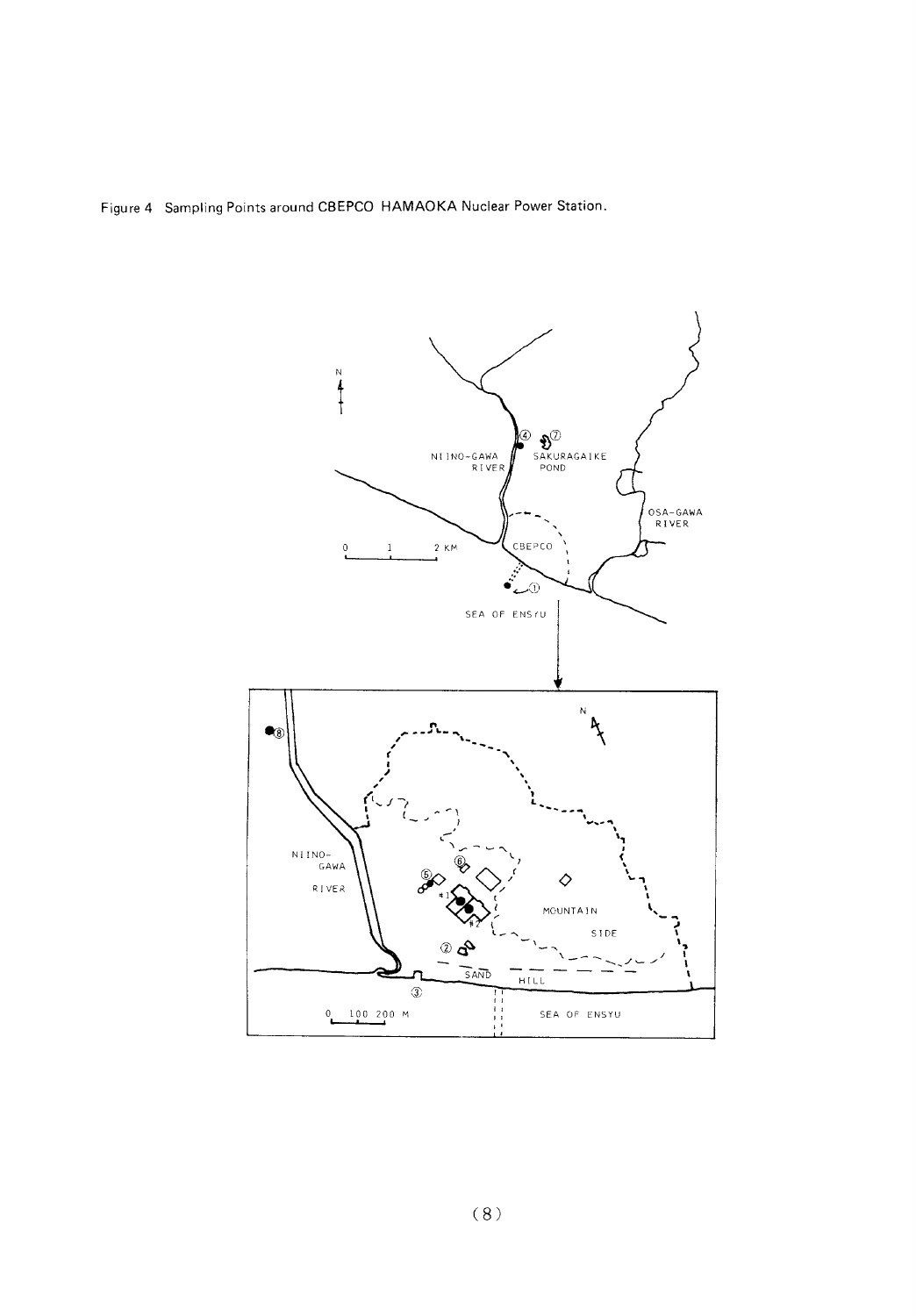Figure 4 Sampling Points around CBEPCO HAMAOKA Nuclear Power Station.

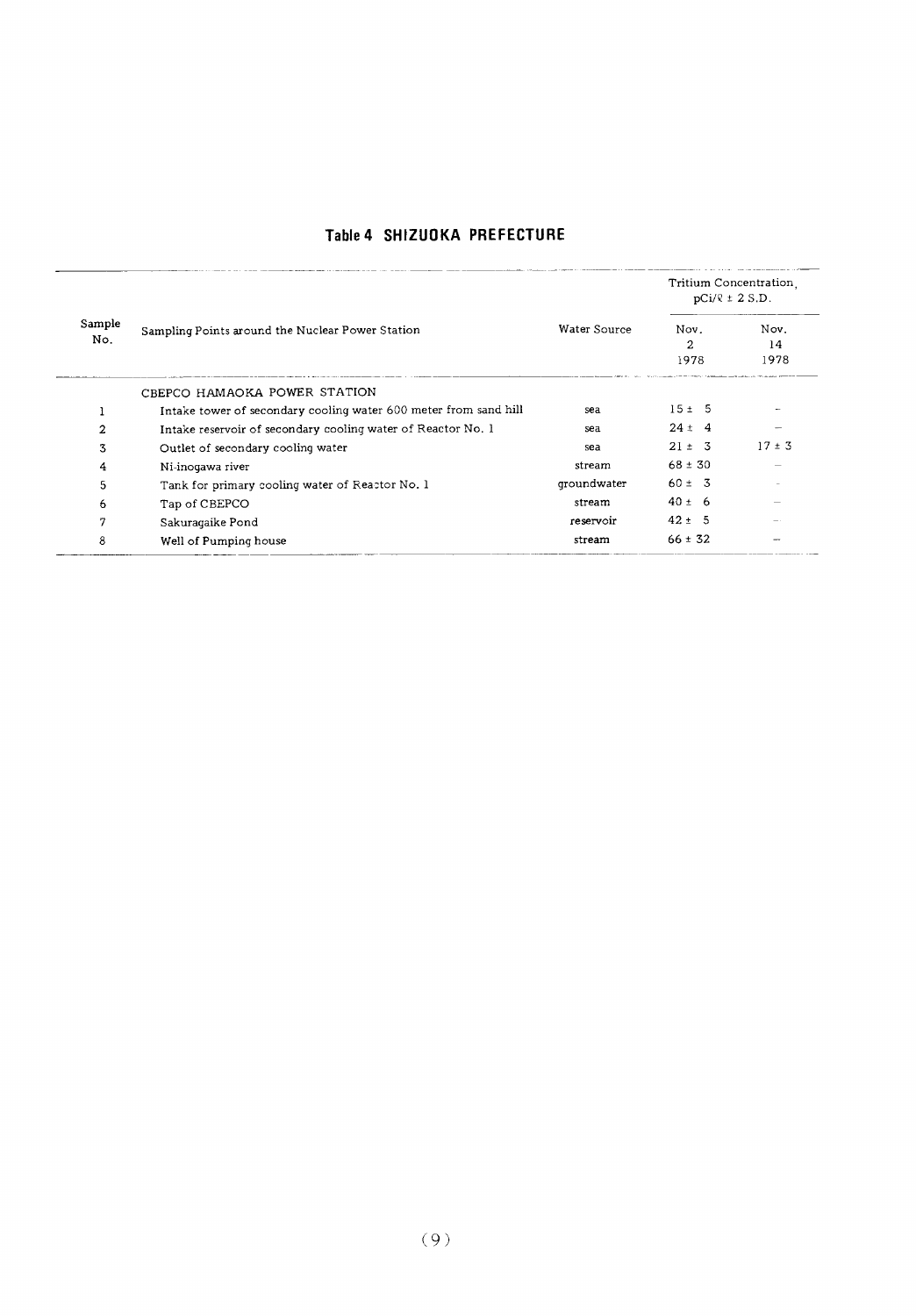#### Table 4 SHIZUOKA PREFECTURE

|               |                                                                  |                                                                                   | Tritium Concentration.<br>$pCi/R \pm 2 S.D.$ |                    |  |
|---------------|------------------------------------------------------------------|-----------------------------------------------------------------------------------|----------------------------------------------|--------------------|--|
| Sample<br>No. | Sampling Points around the Nuclear Power Station                 | Water Source<br>sea<br>sea<br>sea<br>stream<br>qroundwater<br>stream<br>reservoir | Nov.<br>2<br>1978                            | Nov.<br>14<br>1978 |  |
|               | CBEPCO HAMAOKA POWER STATION                                     |                                                                                   |                                              |                    |  |
|               | Intake tower of secondary cooling water 600 meter from sand hill |                                                                                   | 15±5                                         |                    |  |
| 2             | Intake reservoir of secondary cooling water of Reactor No. 1     |                                                                                   | $24 \pm 4$                                   |                    |  |
| 3             | Outlet of secondary cooling water                                |                                                                                   | $21 \pm 3$                                   | $17 \pm 3$         |  |
| 4             | Ni-inogawa river                                                 |                                                                                   | $68 \pm 30$                                  |                    |  |
| 5             | Tank for primary cooling water of Reactor No. 1                  |                                                                                   | $60 \pm 3$                                   |                    |  |
| 6             | Tap of CBEPCO                                                    |                                                                                   | $40 \pm 6$                                   |                    |  |
| 7             | Sakuraqaike Pond                                                 |                                                                                   | $42 \pm 5$                                   |                    |  |
| 8             | Well of Pumping house                                            | stream                                                                            | $66 \pm 32$                                  |                    |  |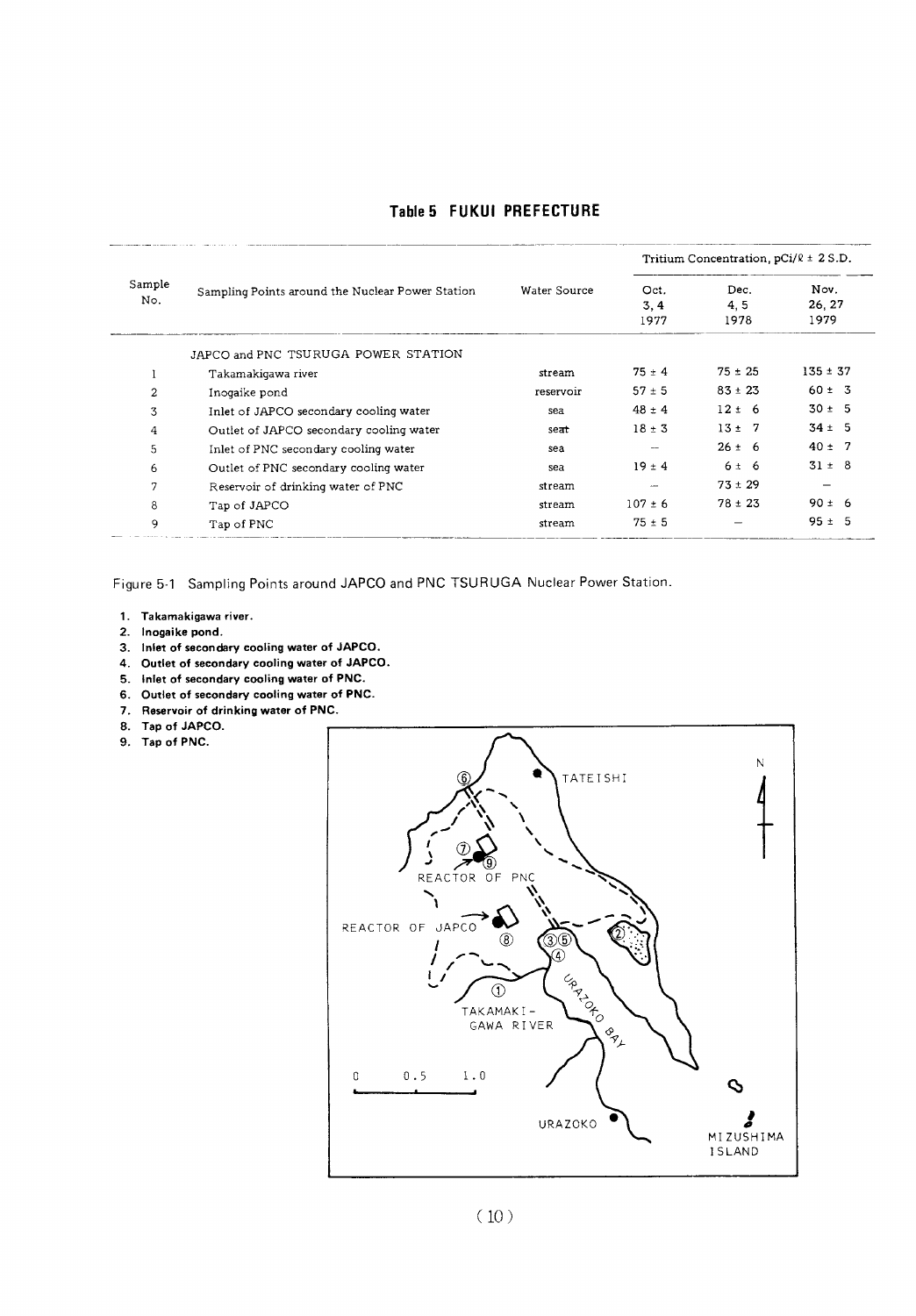|  |  | Table 5 FUKUI PREFECTURE |
|--|--|--------------------------|
|--|--|--------------------------|

|                                             |                                                  |              | Tritium Concentration, $pCi/R \pm 2 S.D.$ |                     |                        |  |  |
|---------------------------------------------|--------------------------------------------------|--------------|-------------------------------------------|---------------------|------------------------|--|--|
| Sample<br>No.<br>2<br>3<br>4<br>5<br>6<br>7 | Sampling Points around the Nuclear Power Station | Water Source | Oct.<br>3, 4<br>1977                      | Dec.<br>4.5<br>1978 | Nov.<br>26, 27<br>1979 |  |  |
|                                             | JAPCO and PNC TSURUGA POWER STATION              |              |                                           |                     |                        |  |  |
|                                             | Takamakigawa river                               | stream       | $75 \pm 4$                                | $75 \pm 25$         | $135 \pm 37$           |  |  |
|                                             | Inogaike pond                                    | reservoir    | $57 \pm 5$                                | $83 \pm 23$         | $60 \pm 3$             |  |  |
|                                             | Inlet of JAPCO secondary cooling water           | sea          | $48 \pm 4$                                | $12 \pm 6$          | $30 \pm 5$             |  |  |
|                                             | Outlet of JAPCO secondary cooling water          | seat         | $18 \pm 3$                                | $13 \pm 7$          | $34 \pm 5$             |  |  |
|                                             | Inlet of PNC secondary cooling water             | sea          |                                           | $26 \pm 6$          | $40 \pm 7$             |  |  |
|                                             | Outlet of PNC secondary cooling water            | sea          | $19 \pm 4$                                | 6 ± 6               | $31 \pm 8$             |  |  |
|                                             | Reservoir of drinking water of PNC               | stream       |                                           | $73 \pm 29$         |                        |  |  |
| 8                                           | Tap of JAPCO                                     | stream       | $107 \pm 6$                               | $78 \pm 23$         | $90 \pm 6$             |  |  |
| 9                                           | Tap of PNC                                       | stream       | $75 \pm 5$                                |                     | $95 \pm 5$             |  |  |

Figure 5-1 Sampling Points around JAPCO and PNC TSURUGA Nuclear Power Station.

- 1. Takamakigawa river.
- 2. Inogaike pond.
- 3. Inlet of secondary cooling water of JAPCO.
- 4. Outlet of secondary cooling water of JAPCO.
- 5. Inlet of secondary cooling water of PNC.
- 6. Outlet of secondary cooling water of PNC.
- 7. Reservoir of drinking water of PNC.
- 8. Tap of JAPCO.
- 9. Tap of PNC.

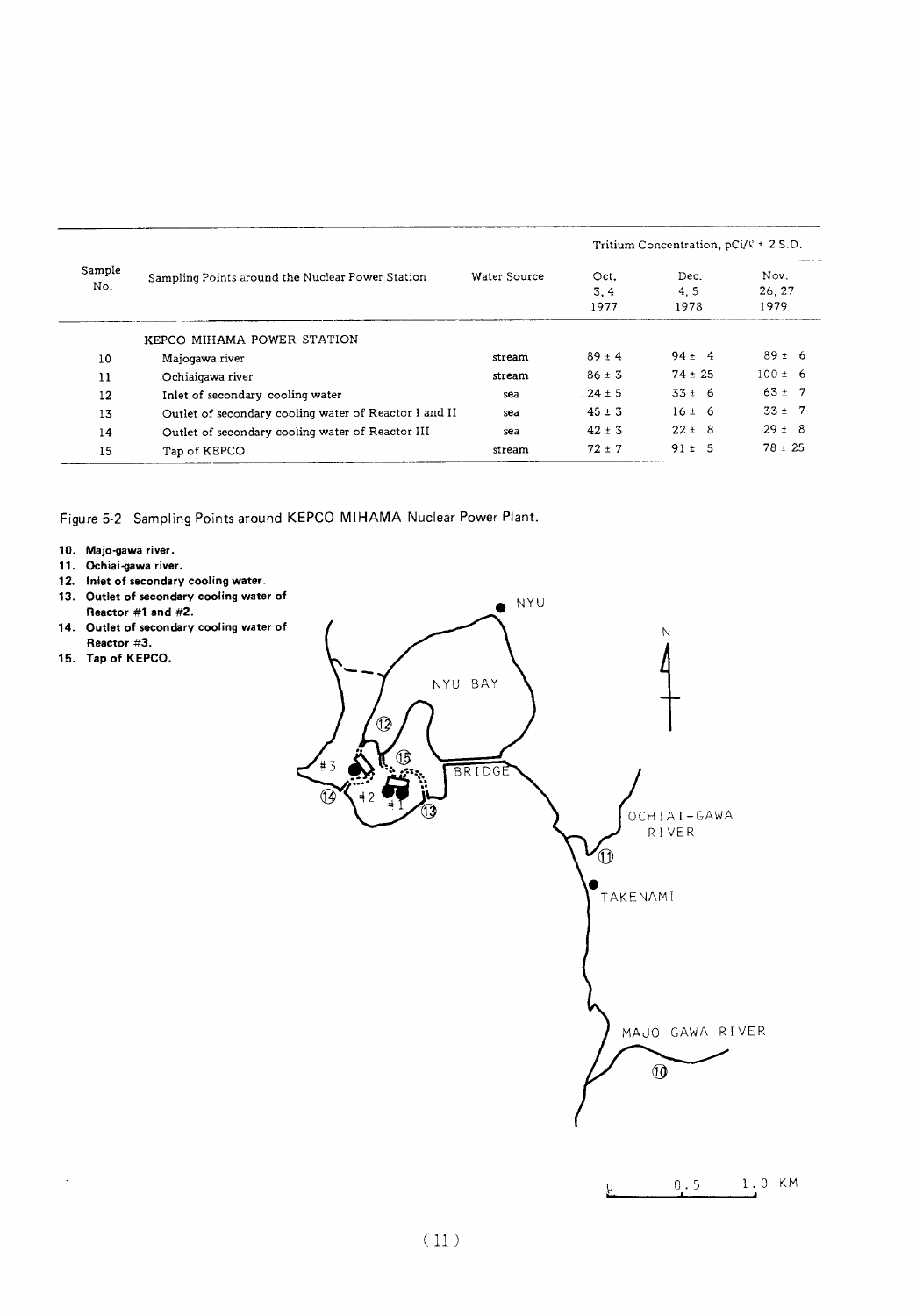|               |                                                       |              | Tritium Concentration, $pCi/\sqrt{x} \pm 2 S.D.$ |                     |                       |  |
|---------------|-------------------------------------------------------|--------------|--------------------------------------------------|---------------------|-----------------------|--|
| Sample<br>No. | Sampling Points around the Nuclear Power Station      | Water Source | Oct.<br>3.4<br>1977                              | Dec.<br>4.5<br>1978 | Nov.<br>26.27<br>1979 |  |
|               | KEPCO MIHAMA POWER STATION                            |              |                                                  |                     |                       |  |
| 10            | Majogawa river                                        | stream       | $89 \pm 4$                                       | $94 \pm 4$          | $89 \pm 6$            |  |
| 11            | Ochiaigawa river                                      | stream       | $86 \pm 3$                                       | $74 \pm 25$         | $100 \pm 6$           |  |
| 12            | Inlet of secondary cooling water                      | sea          | $124 \pm 5$                                      | $33 \pm 6$          | $63 \pm 7$            |  |
| 13            | Outlet of secondary cooling water of Reactor I and II | sea          | $45 \pm 3$                                       | $16 \pm 6$          | $33 \pm 7$            |  |
| 14            | Outlet of secondary cooling water of Reactor III      | sea          | $42 \pm 3$                                       | $22 \pm 8$          | $29 \pm 8$            |  |
| 15            | Tap of KEPCO                                          | stream       | $72 + 7$                                         | $91 \pm 5$          | $78 \pm 25$           |  |

Figure 5-2 Sampling Points around KEPCO MIHAMA Nuclear Power Plant.

- 10. Majo-gawa river.
- 11. Ochiai-gawa river.
- 12. Inlet of secondary cooling water.
- 13. Outlet of secondary cooling water of
- Reactor #1 and  $#2$ .
- 14. Outlet of secondary cooling water of Reactor #3.
- 15. Tap of KEPCO.

 $\mathcal{A}$ 



 $0.5$  1.0 KM Ų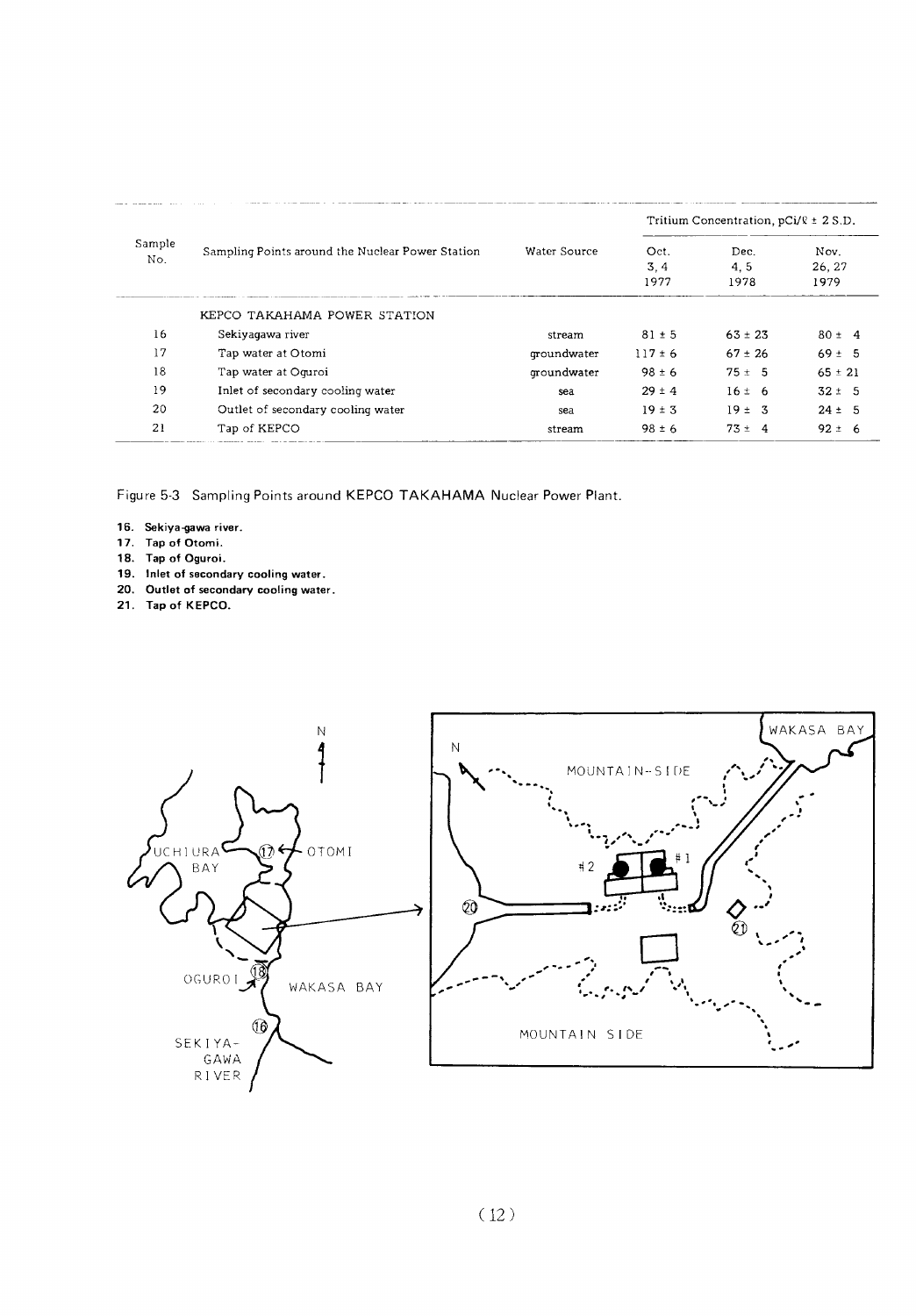|               |                                                  |              |                     | Tritium Concentration, $pCi/\ell \pm 2 S.D.$ |                        |
|---------------|--------------------------------------------------|--------------|---------------------|----------------------------------------------|------------------------|
| Sample<br>No. | Sampling Points around the Nuclear Power Station | Water Source | Oct.<br>3.4<br>1977 | Dec.<br>4.5<br>1978                          | Nov.<br>26, 27<br>1979 |
|               | KEPCO TAKAHAMA POWER STATION                     |              |                     |                                              |                        |
| 16            | Sekiyagawa river                                 | stream       | $81 \pm 5$          | $63 \pm 23$                                  | $80 \pm 4$             |
| 17            | Tap water at Otomi                               | groundwater  | $117 \pm 6$         | $67 \pm 26$                                  | $69 \pm 5$             |
| 18            | Tap water at Oguroi                              | groundwater  | $98 \pm 6$          | $75 \pm 5$                                   | $65 \pm 21$            |
| 19            | Inlet of secondary cooling water                 | sea          | $29 \pm 4$          | 16±6                                         | $32 \pm 5$             |
| 20            | Outlet of secondary cooling water                | sea          | $19 \pm 3$          | $19 \pm 3$                                   | $24 \pm 5$             |
| 21            | Tap of KEPCO                                     | stream       | $98 \pm 6$          | $73 \pm 4$                                   | $92 \pm 6$             |

Figure 5-3 Sampling Points around KEPCO TAKAHAMA Nuclear Power Plant.

- 16. Sekiya-gawa river.
- 17. Tap of Otomi.
- 18. Tap of Oguroi.
- 19. Inlet of secondary cooling water.
- 20. Outlet of secondary cooling water.<br>21. Tap of KEPCO.
- 

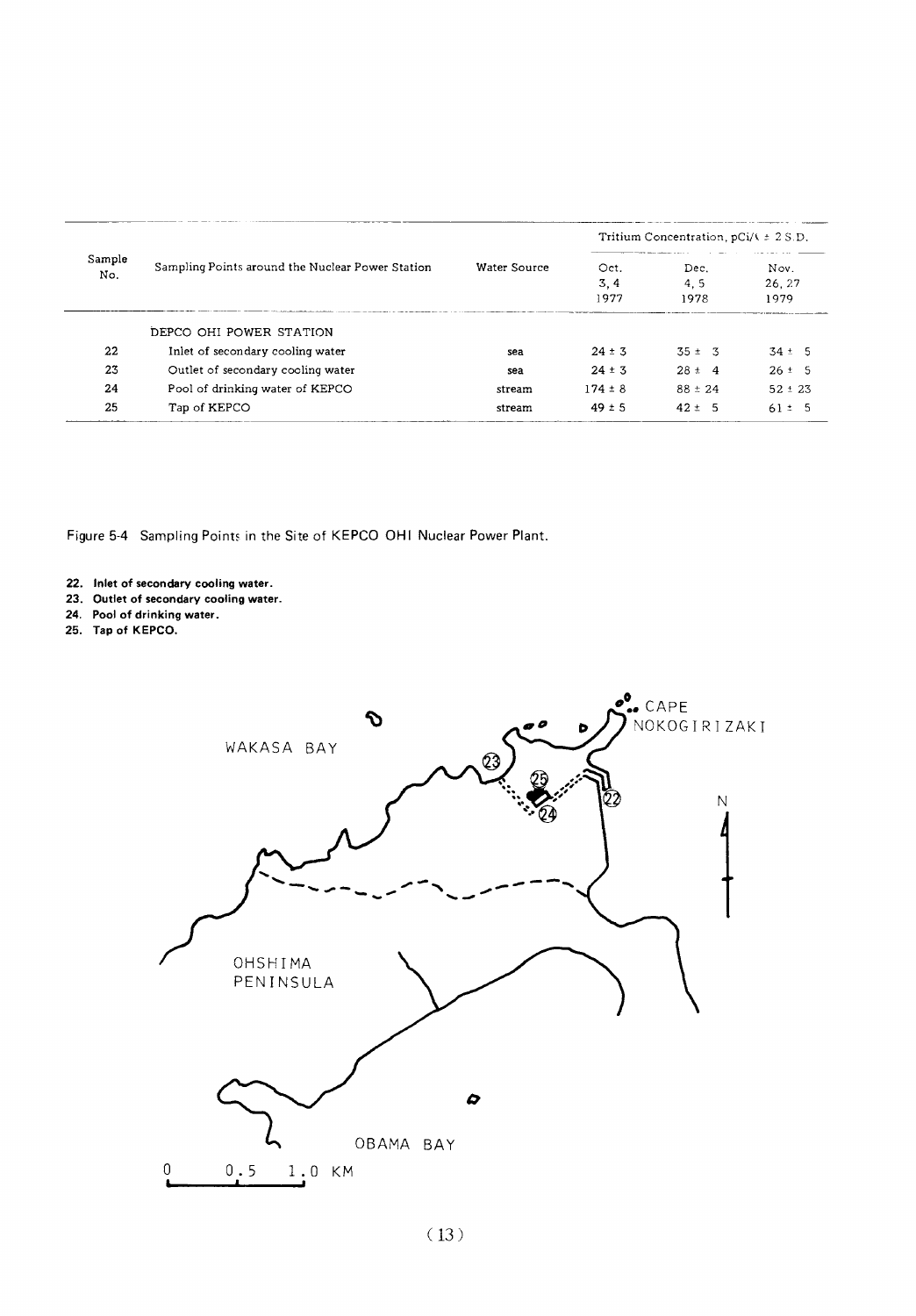|               |                                                  |              | Tritium Concentration, $pCi / k \pm 2 S.D.$ |                     |                       |  |
|---------------|--------------------------------------------------|--------------|---------------------------------------------|---------------------|-----------------------|--|
| Sample<br>No. | Sampling Points around the Nuclear Power Station | Water Source | Oct.<br>3, 4<br>1977                        | Dec.<br>4.5<br>1978 | Nov.<br>26.27<br>1979 |  |
|               | DEPCO OHI POWER STATION                          |              |                                             |                     |                       |  |
| 22            | Inlet of secondary cooling water                 | sea          | $24 \pm 3$                                  | $35 \pm 3$          | $34 \pm 5$            |  |
|               |                                                  |              |                                             |                     |                       |  |
| 23            | Outlet of secondary cooling water                | sea          | $24 \pm 3$                                  | $28 \pm 4$          | $26 \pm 5$            |  |
| 24            | Pool of drinking water of KEPCO                  | stream       | $174 \pm 8$                                 | $88 \pm 24$         | $52 \pm 23$           |  |
| 25            | Tap of KEPCO                                     | stream       | $49 \pm 5$                                  | $42 \pm 5$          | $61 \pm 5$            |  |

Figure 5-4 Sampling Points in the Site of KEPCO OHI Nuclear Power Plant.

- 22. Inlet of secondary cooling water.
- 23. Outlet of secondary cooling water.
- 24. Pool of drinking water.
- 25. Tap of KEPCO.

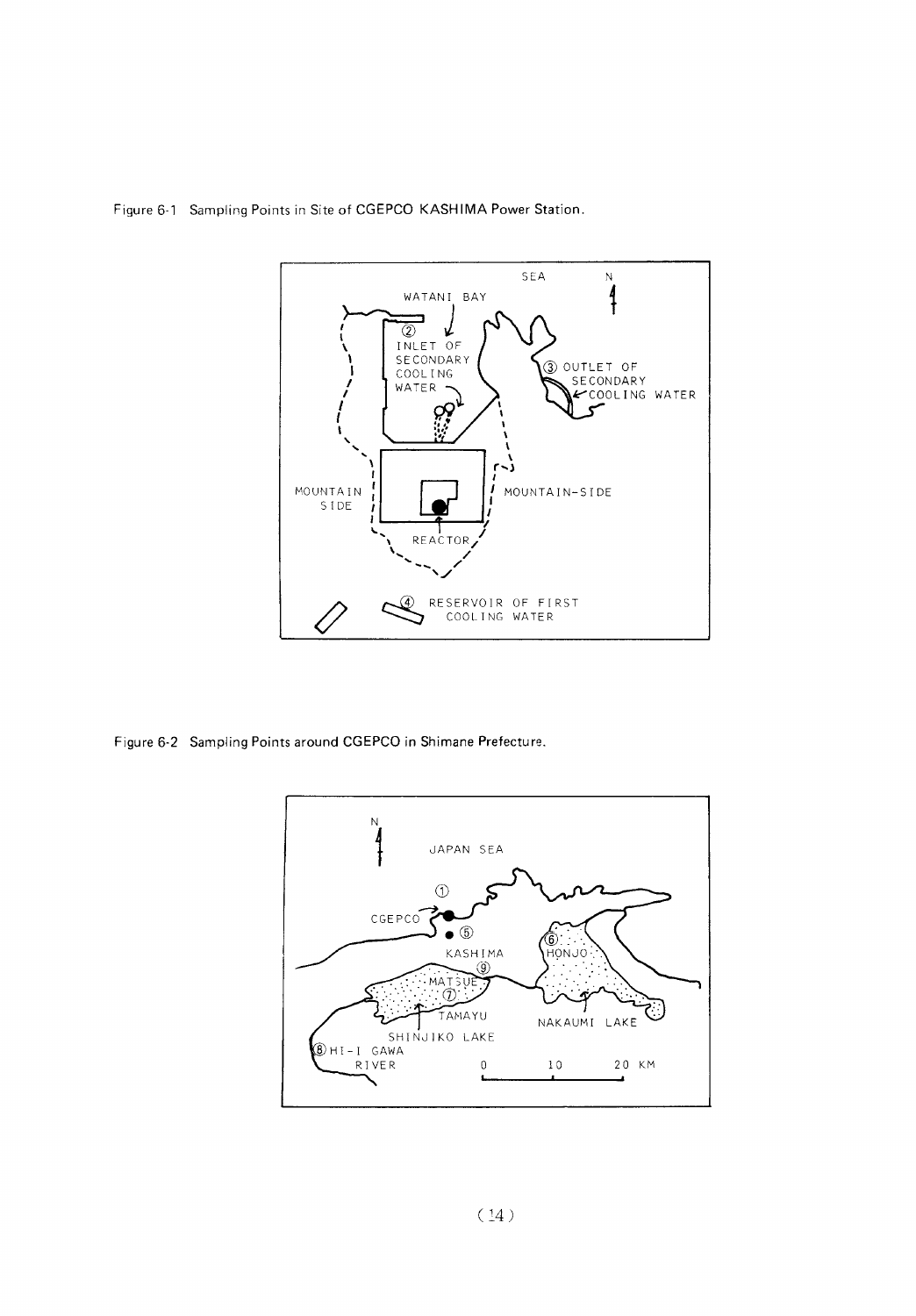

Figure 6-1 Sampling Points in Site of CGEPCO KASHIMA Power Station.

Figure 6-2 Sampling Points around CGEPCO in Shimane Prefecture.

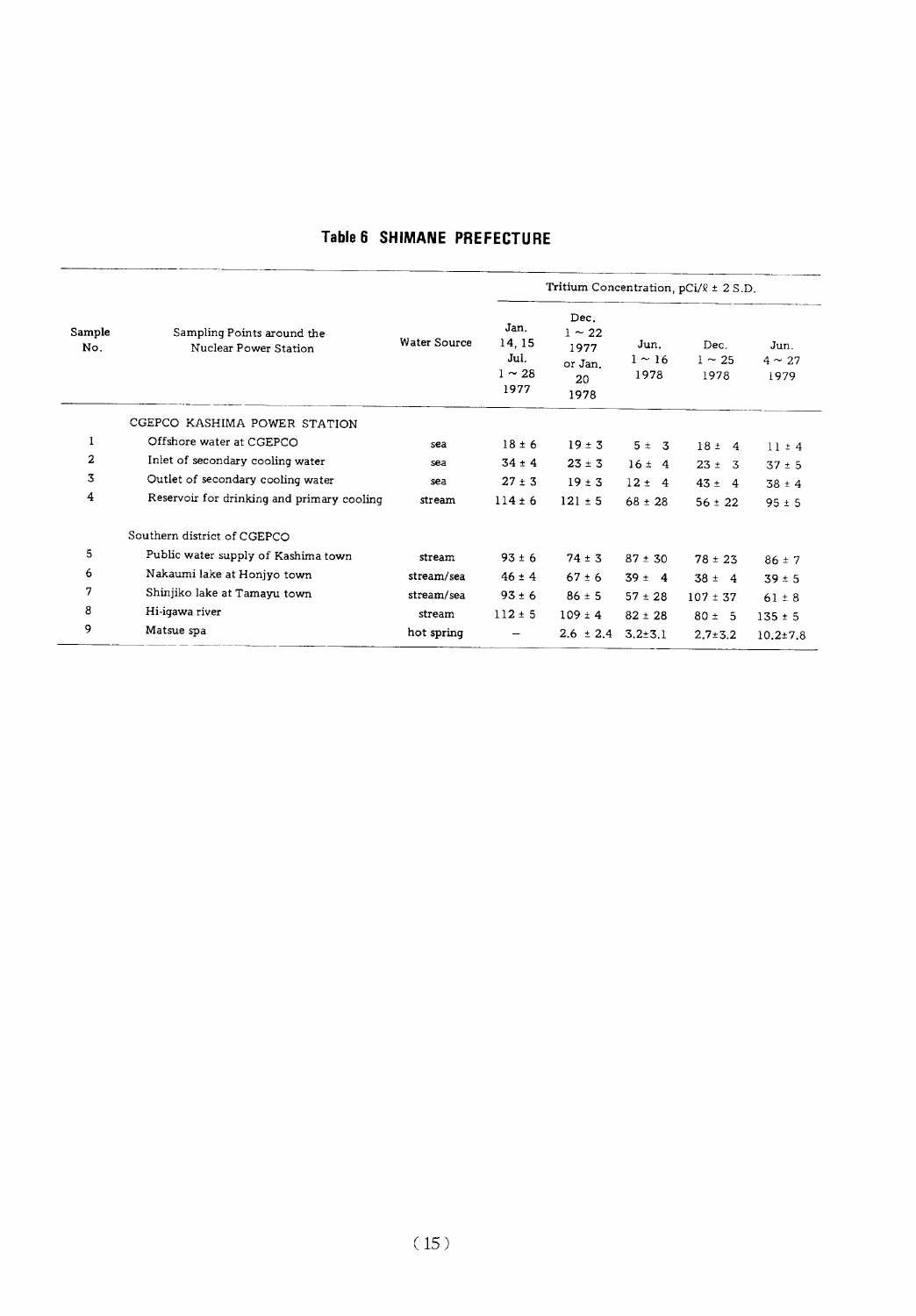#### Table 6 SHIMANE PREFECTURE

|                | Sampling Points around the<br>Nuclear Power Station |              | Tritium Concentration, $pCi/R \pm 2 S.D.$     |                                                      |                             |                             |                             |  |  |
|----------------|-----------------------------------------------------|--------------|-----------------------------------------------|------------------------------------------------------|-----------------------------|-----------------------------|-----------------------------|--|--|
| Sample<br>No.  |                                                     | Water Source | Jan.<br>14, 15<br>Jul.<br>$1 \sim 28$<br>1977 | Dec.<br>$1 \sim 22$<br>1977<br>or Jan.<br>20<br>1978 | Jun.<br>$1 \sim 16$<br>1978 | Dec.<br>$1 \sim 25$<br>1978 | Jun.<br>$4 \sim 27$<br>1979 |  |  |
|                | CGEPCO KASHIMA POWER STATION                        |              |                                               |                                                      |                             |                             |                             |  |  |
| 1              | Offshore water at CGEPCO                            | sea          | $18 \pm 6$                                    | $19 \pm 3$                                           | $5 \pm 3$                   | $18 \pm 4$                  | $11 \pm 4$                  |  |  |
| $\overline{2}$ | Inlet of secondary cooling water                    | sea          | $34 \pm 4$                                    | $23 \pm 3$                                           | $16 \pm 4$                  | $23 \pm 3$                  | $37 \pm 5$                  |  |  |
| 3              | Outlet of secondary cooling water                   | sea          | $27 \pm 3$                                    | $19 \pm 3$                                           | $12 \pm 4$                  | $43 \pm 4$                  | $38 \pm 4$                  |  |  |
| 4              | Reservoir for drinking and primary cooling          | stream       | $114 \pm 6$                                   | $121 \pm 5$                                          | $68 \pm 28$                 | $56 \pm 22$                 | $95 \pm 5$                  |  |  |
|                | Southern district of CGEPCO                         |              |                                               |                                                      |                             |                             |                             |  |  |
| 5              | Public water supply of Kashima town                 | stream       | $93 \pm 6$                                    | $74 \pm 3$                                           | $87 \pm 30$                 | $78 \pm 23$                 | $86 \pm 7$                  |  |  |
| 6              | Nakaumi lake at Honjyo town                         | stream/sea   | $46 \pm 4$                                    | $67 \pm 6$                                           | $39 \pm 4$                  | $38 \pm 4$                  | $39 \pm 5$                  |  |  |
| 7              | Shinjiko lake at Tamayu town                        | stream/sea   | $93 \pm 6$                                    | $86 \pm 5$                                           | $57 \pm 28$                 | $107 \pm 37$                | $61 \pm 8$                  |  |  |
| 8              | Hi-iqawa river                                      | stream       | $112 \pm 5$                                   | $109 \pm 4$                                          | $82 \pm 28$                 | $80 \pm 5$                  | $135 \pm 5$                 |  |  |
| 9              | Matsue spa                                          | hot spring   |                                               | $2.6 \pm 2.4$                                        | $3.2 \pm 3.1$               | $2.7 \pm 3.2$               | $10.2 \pm 7.8$              |  |  |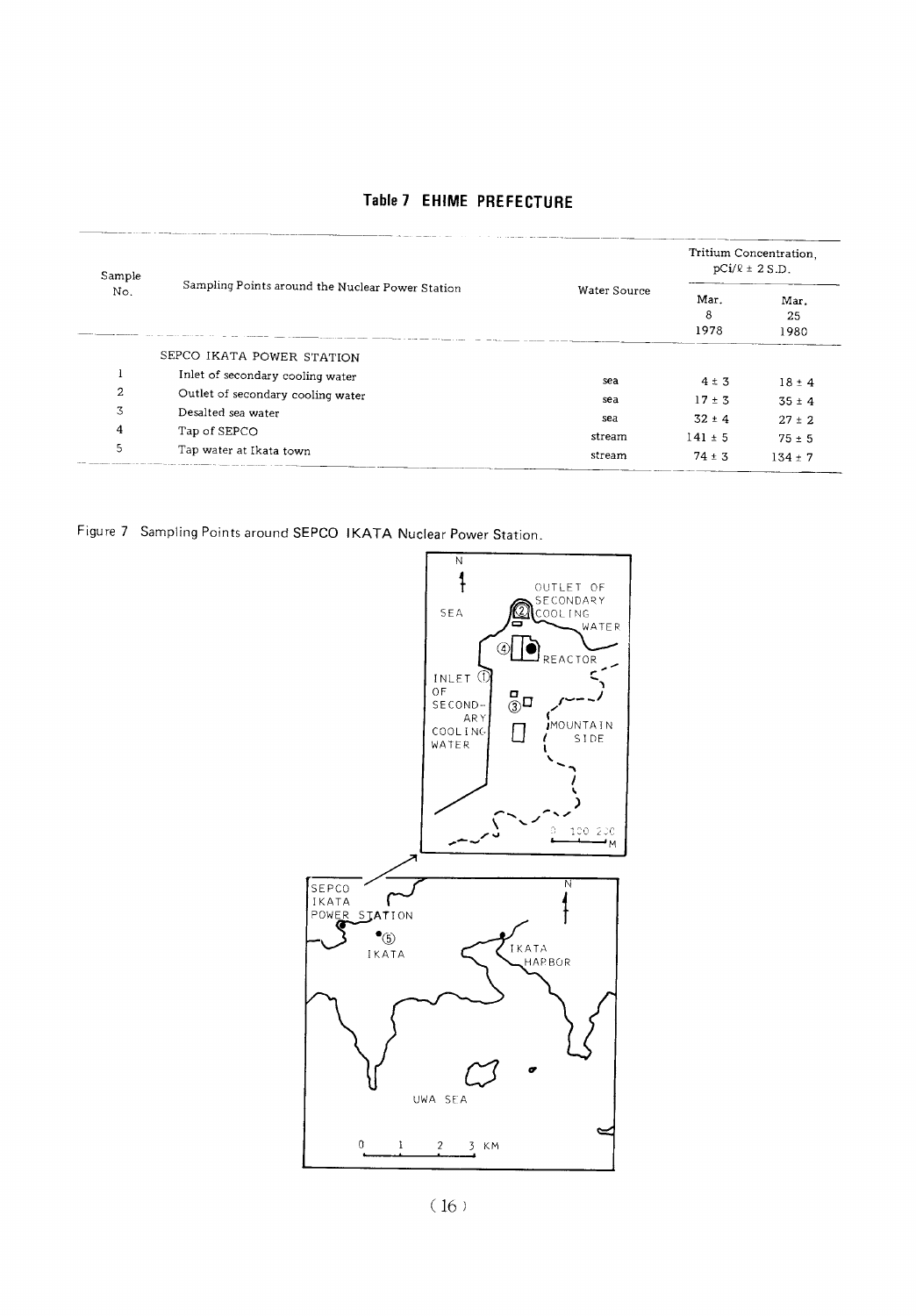| Sample<br>No. | Sampling Points around the Nuclear Power Station | Water Source | Tritium Concentration.<br>$pCi/R \pm 2 S.D.$ |                         |
|---------------|--------------------------------------------------|--------------|----------------------------------------------|-------------------------|
|               |                                                  |              | Mar.<br>8<br>1978                            | Mar.<br>25<br>1980      |
|               | SEPCO IKATA POWER STATION                        |              |                                              |                         |
|               | Inlet of secondary cooling water                 | sea          | $4 \pm 3$                                    | $18 \pm 4$              |
| 2             | Outlet of secondary cooling water                | sea          | $17 \pm 3$                                   | $35 \pm 4$              |
| 3             | Desalted sea water                               | sea          | $32 \pm 4$                                   | $27 \pm 2$              |
| 4             | Tap of SEPCO                                     | stream       | $141 \pm 5$                                  |                         |
| 5             | Tap water at Ikata town                          | stream       | $74 + 3$                                     | $75 \pm 5$<br>$134 + 7$ |

#### Table 7 EHIME PREFECTURE

Figure 7 Sampling Points around SEPCO IKATA Nuclear Power Station.

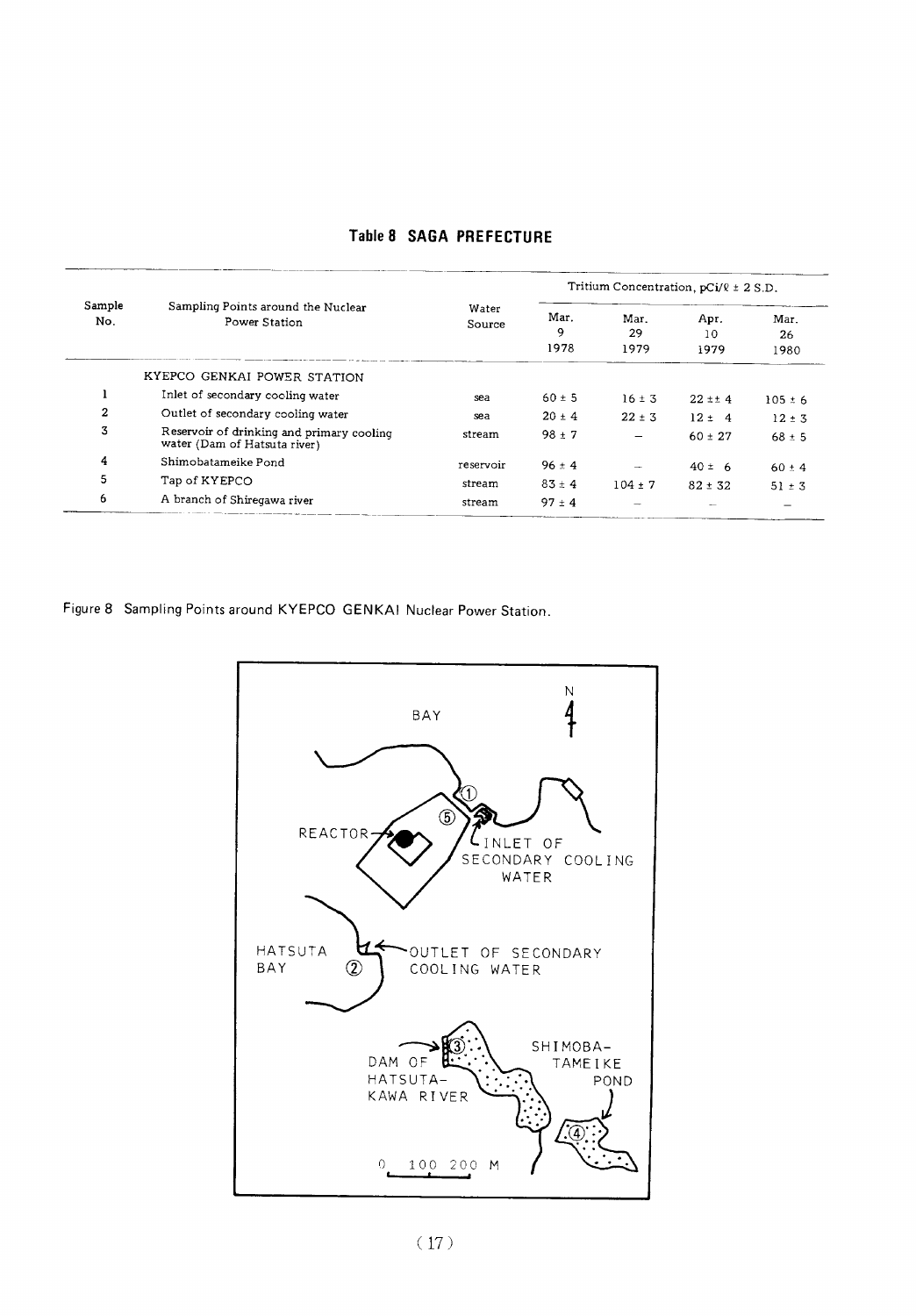| Sample<br>No.  | Sampling Points around the Nuclear<br>Power Station                       | Water<br>Source | Tritium Concentration, $pCi/R \pm 2 S.D.$ |                          |                    |                    |
|----------------|---------------------------------------------------------------------------|-----------------|-------------------------------------------|--------------------------|--------------------|--------------------|
|                |                                                                           |                 | Mar.<br>9<br>1978                         | Mar.<br>29<br>1979       | Apr.<br>10<br>1979 | Mar.<br>26<br>1980 |
|                | KYEPCO GENKAI POWER STATION                                               |                 |                                           |                          |                    |                    |
|                | Inlet of secondary cooling water                                          | sea             | $60 \pm 5$                                | $16 \pm 3$               | $22 \pm 4$         | $105 \pm 6$        |
| $\overline{2}$ | Outlet of secondary cooling water                                         | sea             | $20 \pm 4$                                | $22 \pm 3$               | $12 \pm 4$         | $12 \pm 3$         |
| 3              | Reservoir of drinking and primary cooling<br>water (Dam of Hatsuta river) | stream          | $98 + 7$                                  | $\overline{\phantom{0}}$ | $60 \pm 27$        | $68 \pm 5$         |
| 4              | Shimobatameike Pond                                                       | reservoir       | $96 \pm 4$                                |                          | $40 \pm 6$         | $60 \pm 4$         |
| 5              | Tap of KYEPCO                                                             | stream          | $83 + 4$                                  | $104 \pm 7$              | $82 \pm 32$        | $51 \pm 3$         |
| 6              | A branch of Shiregawa river                                               | stream          | $97 \pm 4$                                |                          |                    |                    |

#### Table 8 SAGA PREFECTURE

Figure 8 Sampling Points around KYEPCO GENKAI Nuclear Power Station.